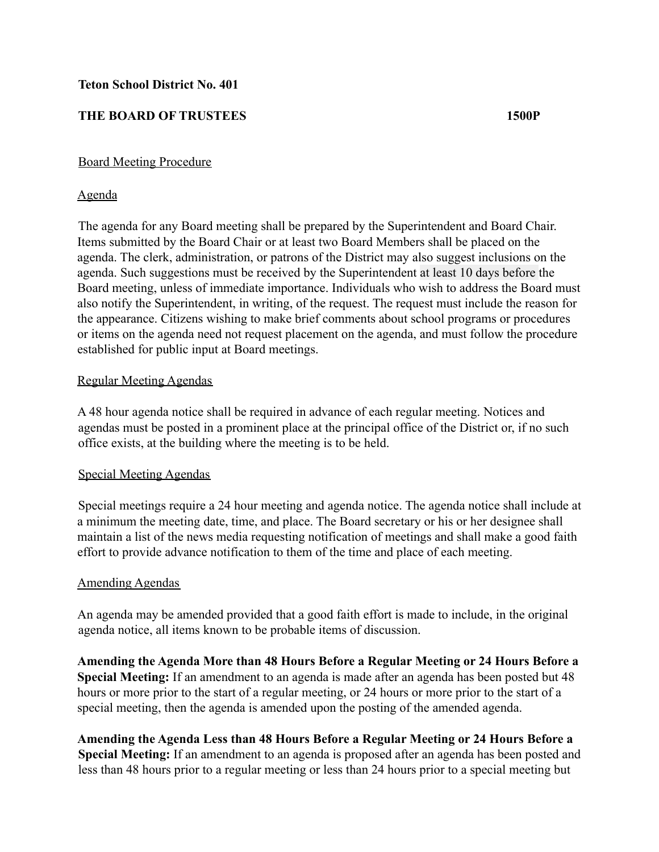## **Teton School District No. 401**

# **THE BOARD OF TRUSTEES 1500P**

## Board Meeting Procedure

## Agenda

The agenda for any Board meeting shall be prepared by the Superintendent and Board Chair. Items submitted by the Board Chair or at least two Board Members shall be placed on the agenda. The clerk, administration, or patrons of the District may also suggest inclusions on the agenda. Such suggestions must be received by the Superintendent at least 10 days before the Board meeting, unless of immediate importance. Individuals who wish to address the Board must also notify the Superintendent, in writing, of the request. The request must include the reason for the appearance. Citizens wishing to make brief comments about school programs or procedures or items on the agenda need not request placement on the agenda, and must follow the procedure established for public input at Board meetings.

## Regular Meeting Agendas

A 48 hour agenda notice shall be required in advance of each regular meeting. Notices and agendas must be posted in a prominent place at the principal office of the District or, if no such office exists, at the building where the meeting is to be held.

## Special Meeting Agendas

Special meetings require a 24 hour meeting and agenda notice. The agenda notice shall include at a minimum the meeting date, time, and place. The Board secretary or his or her designee shall maintain a list of the news media requesting notification of meetings and shall make a good faith effort to provide advance notification to them of the time and place of each meeting.

## Amending Agendas

An agenda may be amended provided that a good faith effort is made to include, in the original agenda notice, all items known to be probable items of discussion.

**Amending the Agenda More than 48 Hours Before a Regular Meeting or 24 Hours Before a Special Meeting:** If an amendment to an agenda is made after an agenda has been posted but 48 hours or more prior to the start of a regular meeting, or 24 hours or more prior to the start of a special meeting, then the agenda is amended upon the posting of the amended agenda.

**Amending the Agenda Less than 48 Hours Before a Regular Meeting or 24 Hours Before a Special Meeting:** If an amendment to an agenda is proposed after an agenda has been posted and less than 48 hours prior to a regular meeting or less than 24 hours prior to a special meeting but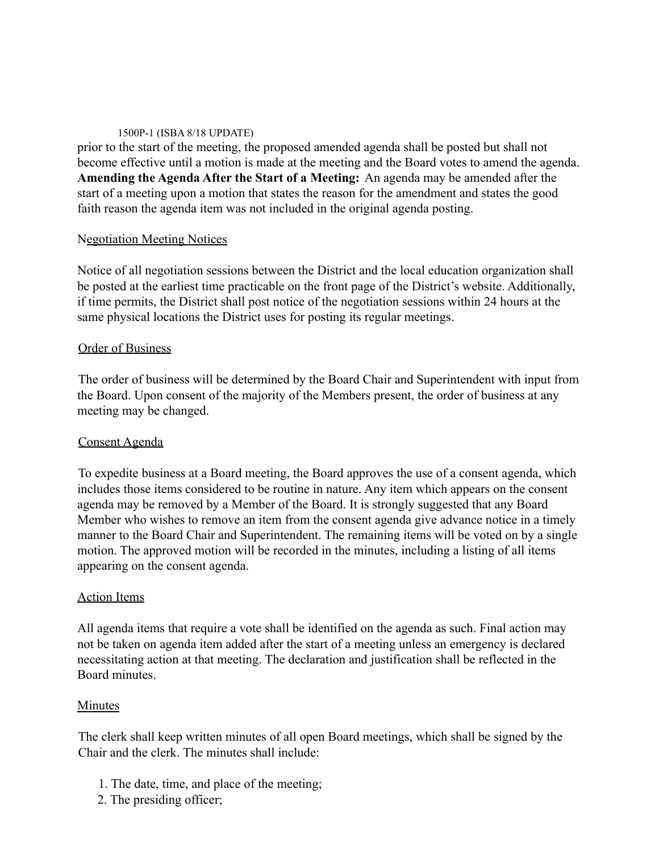#### 1500P-1 (ISBA 8/18 UPDATE)

prior to the start of the meeting, the proposed amended agenda shall be posted but shall not become effective until a motion is made at the meeting and the Board votes to amend the agenda. **Amending the Agenda After the Start of a Meeting:** An agenda may be amended after the start of a meeting upon a motion that states the reason for the amendment and states the good faith reason the agenda item was not included in the original agenda posting.

## Negotiation Meeting Notices

Notice of all negotiation sessions between the District and the local education organization shall be posted at the earliest time practicable on the front page of the District's website. Additionally, if time permits, the District shall post notice of the negotiation sessions within 24 hours at the same physical locations the District uses for posting its regular meetings.

## Order of Business

The order of business will be determined by the Board Chair and Superintendent with input from the Board. Upon consent of the majority of the Members present, the order of business at any meeting may be changed.

# Consent Agenda

To expedite business at a Board meeting, the Board approves the use of a consent agenda, which includes those items considered to be routine in nature. Any item which appears on the consent agenda may be removed by a Member of the Board. It is strongly suggested that any Board Member who wishes to remove an item from the consent agenda give advance notice in a timely manner to the Board Chair and Superintendent. The remaining items will be voted on by a single motion. The approved motion will be recorded in the minutes, including a listing of all items appearing on the consent agenda.

## Action Items

All agenda items that require a vote shall be identified on the agenda as such. Final action may not be taken on agenda item added after the start of a meeting unless an emergency is declared necessitating action at that meeting. The declaration and justification shall be reflected in the Board minutes.

# Minutes

The clerk shall keep written minutes of all open Board meetings, which shall be signed by the Chair and the clerk. The minutes shall include:

- 1. The date, time, and place of the meeting;
- 2. The presiding officer;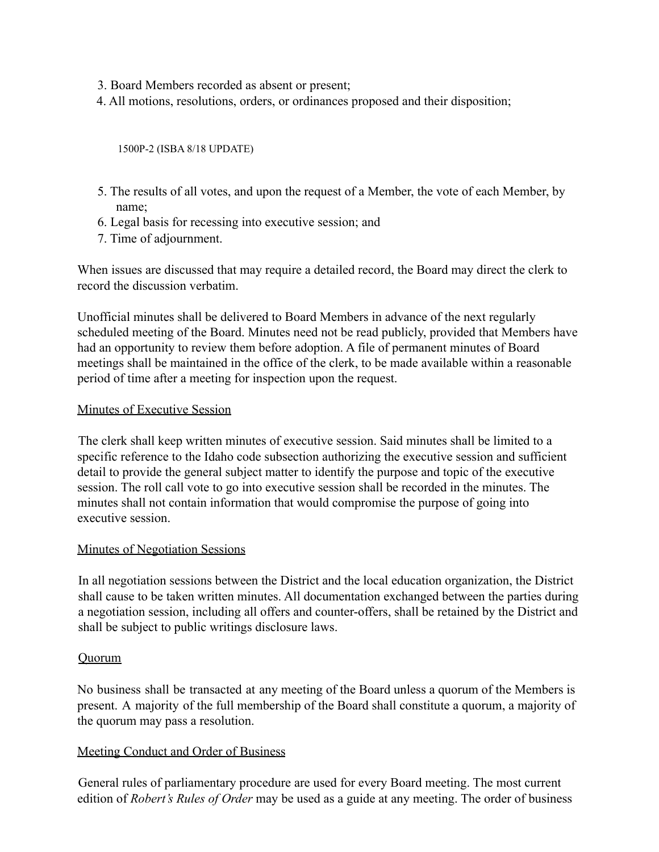- 3. Board Members recorded as absent or present;
- 4. All motions, resolutions, orders, or ordinances proposed and their disposition;

1500P-2 (ISBA 8/18 UPDATE)

- 5. The results of all votes, and upon the request of a Member, the vote of each Member, by name;
- 6. Legal basis for recessing into executive session; and
- 7. Time of adjournment.

When issues are discussed that may require a detailed record, the Board may direct the clerk to record the discussion verbatim.

Unofficial minutes shall be delivered to Board Members in advance of the next regularly scheduled meeting of the Board. Minutes need not be read publicly, provided that Members have had an opportunity to review them before adoption. A file of permanent minutes of Board meetings shall be maintained in the office of the clerk, to be made available within a reasonable period of time after a meeting for inspection upon the request.

## Minutes of Executive Session

The clerk shall keep written minutes of executive session. Said minutes shall be limited to a specific reference to the Idaho code subsection authorizing the executive session and sufficient detail to provide the general subject matter to identify the purpose and topic of the executive session. The roll call vote to go into executive session shall be recorded in the minutes. The minutes shall not contain information that would compromise the purpose of going into executive session.

## Minutes of Negotiation Sessions

In all negotiation sessions between the District and the local education organization, the District shall cause to be taken written minutes. All documentation exchanged between the parties during a negotiation session, including all offers and counter-offers, shall be retained by the District and shall be subject to public writings disclosure laws.

## **Quorum**

No business shall be transacted at any meeting of the Board unless a quorum of the Members is present. A majority of the full membership of the Board shall constitute a quorum, a majority of the quorum may pass a resolution.

# Meeting Conduct and Order of Business

General rules of parliamentary procedure are used for every Board meeting. The most current edition of *Robert's Rules of Order* may be used as a guide at any meeting. The order of business